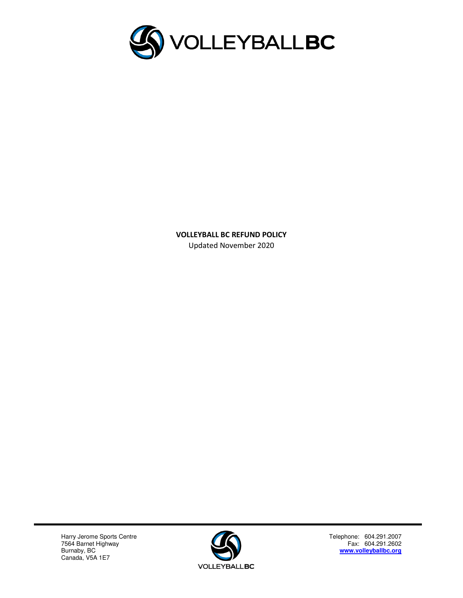

**VOLLEYBALL BC REFUND POLICY**  Updated November 2020

Harry Jerome Sports Centre **Telephone: 604.291.2007** Telephone: 604.291.2007 7564 Barnet Highway **Fax: 604.291.2602 Fax: 604.291.2602** Pour Danier High<br>Burnaby, BC<br>Canada, V5A 1E7



Telephone: 604.291.2007<br>Fax: 604.291.2602<br>**www.volleyballbc.org**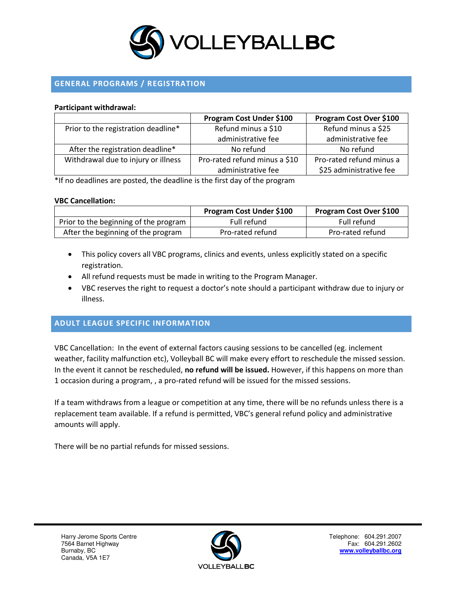

# **GENERAL PROGRAMS / REGISTRATION**

#### **Participant withdrawal:**

|                                     | Program Cost Under \$100      | Program Cost Over \$100  |
|-------------------------------------|-------------------------------|--------------------------|
| Prior to the registration deadline* | Refund minus a \$10           | Refund minus a \$25      |
|                                     | administrative fee            | administrative fee       |
| After the registration deadline*    | No refund                     | No refund                |
| Withdrawal due to injury or illness | Pro-rated refund minus a \$10 | Pro-rated refund minus a |
|                                     | administrative fee            | \$25 administrative fee  |

\*If no deadlines are posted, the deadline is the first day of the program

#### **VBC Cancellation:**

|                                       | Program Cost Under \$100 | <b>Program Cost Over \$100</b> |
|---------------------------------------|--------------------------|--------------------------------|
| Prior to the beginning of the program | Full refund              | Full refund                    |
| After the beginning of the program    | Pro-rated refund         | Pro-rated refund               |

- This policy covers all VBC programs, clinics and events, unless explicitly stated on a specific registration.
- All refund requests must be made in writing to the Program Manager.
- VBC reserves the right to request a doctor's note should a participant withdraw due to injury or illness.

### **ADULT LEAGUE SPECIFIC INFORMATION**

VBC Cancellation: In the event of external factors causing sessions to be cancelled (eg. inclement weather, facility malfunction etc), Volleyball BC will make every effort to reschedule the missed session. In the event it cannot be rescheduled, **no refund will be issued.** However, if this happens on more than 1 occasion during a program, , a pro-rated refund will be issued for the missed sessions.

If a team withdraws from a league or competition at any time, there will be no refunds unless there is a replacement team available. If a refund is permitted, VBC's general refund policy and administrative amounts will apply.

There will be no partial refunds for missed sessions.